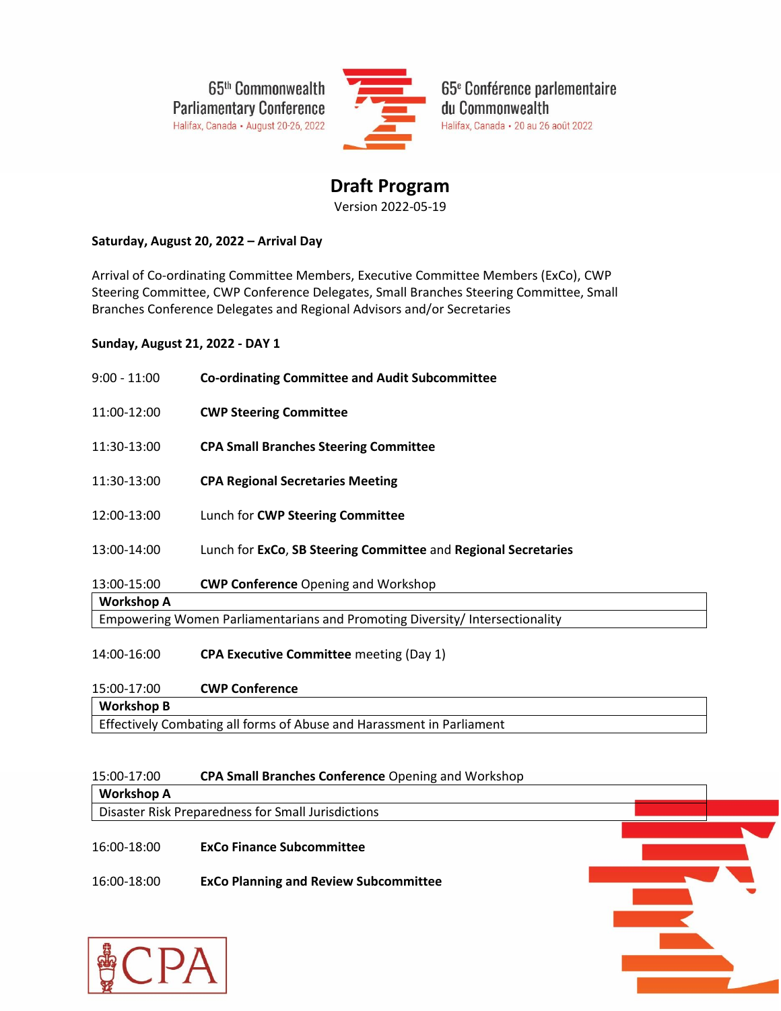65<sup>th</sup> Commonwealth **Parliamentary Conference** Halifax, Canada - August 20-26, 2022



65<sup>e</sup> Conférence parlementaire du Commonwealth Halifax, Canada - 20 au 26 août 2022

# **Draft Program** Version 2022-05-19

# **Saturday, August 20, 2022 – Arrival Day**

Arrival of Co-ordinating Committee Members, Executive Committee Members (ExCo), CWP Steering Committee, CWP Conference Delegates, Small Branches Steering Committee, Small Branches Conference Delegates and Regional Advisors and/or Secretaries

## **Sunday, August 21, 2022 - DAY 1**

| $9:00 - 11:00$                                                               | <b>Co-ordinating Committee and Audit Subcommittee</b>          |  |  |  |
|------------------------------------------------------------------------------|----------------------------------------------------------------|--|--|--|
| 11:00-12:00                                                                  | <b>CWP Steering Committee</b>                                  |  |  |  |
| 11:30-13:00                                                                  | <b>CPA Small Branches Steering Committee</b>                   |  |  |  |
| 11:30-13:00                                                                  | <b>CPA Regional Secretaries Meeting</b>                        |  |  |  |
| 12:00-13:00                                                                  | Lunch for CWP Steering Committee                               |  |  |  |
| 13:00-14:00                                                                  | Lunch for ExCo, SB Steering Committee and Regional Secretaries |  |  |  |
| 13:00-15:00                                                                  | <b>CWP Conference Opening and Workshop</b>                     |  |  |  |
| <b>Workshop A</b>                                                            |                                                                |  |  |  |
| Empowering Women Parliamentarians and Promoting Diversity/ Intersectionality |                                                                |  |  |  |
| 14:00-16:00                                                                  | <b>CPA Executive Committee</b> meeting (Day 1)                 |  |  |  |
| $15.00 - 17.00$                                                              | CIND Conference                                                |  |  |  |

#### 15:00-17:00 **CWP Conference**

CITT

**Workshop B**

Effectively Combating all forms of Abuse and Harassment in Parliament

# 15:00-17:00 **CPA Small Branches Conference** Opening and Workshop

| <b>Workshop A</b> |                                                    |  |
|-------------------|----------------------------------------------------|--|
|                   | Disaster Risk Preparedness for Small Jurisdictions |  |
| 16:00-18:00       | <b>ExCo Finance Subcommittee</b>                   |  |
| 16:00-18:00       | <b>ExCo Planning and Review Subcommittee</b>       |  |
|                   |                                                    |  |
|                   |                                                    |  |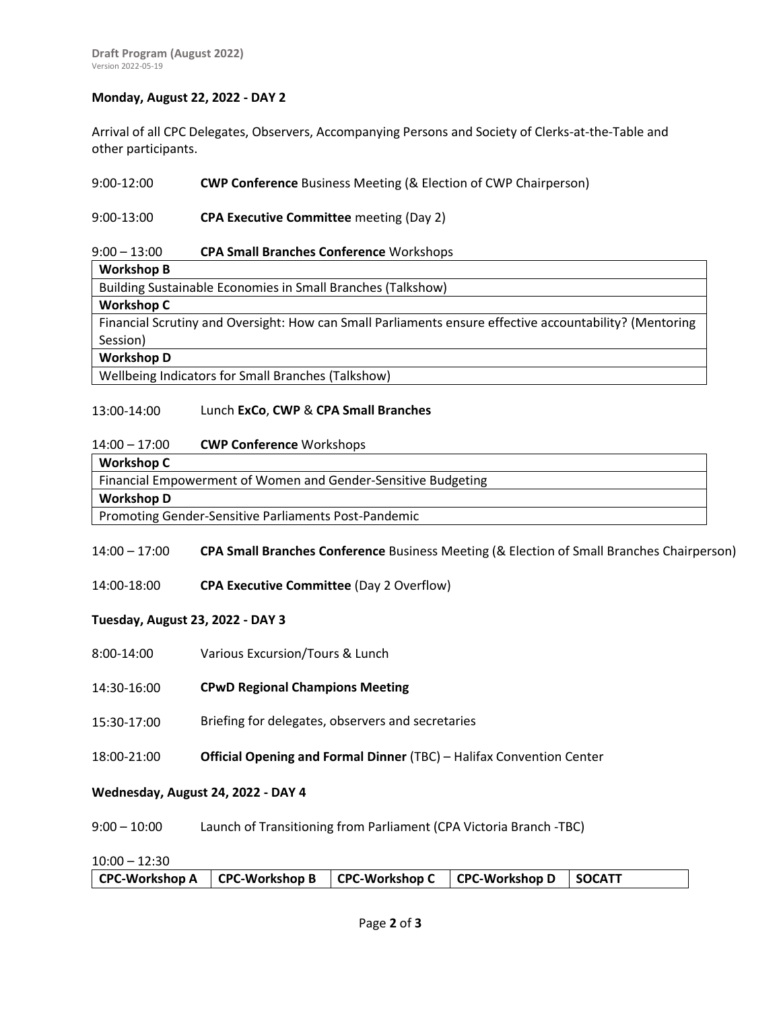## **Monday, August 22, 2022 - DAY 2**

Arrival of all CPC Delegates, Observers, Accompanying Persons and Society of Clerks-at-the-Table and other participants.

#### 9:00-12:00 **CWP Conference** Business Meeting (& Election of CWP Chairperson)

#### 9:00-13:00 **CPA Executive Committee** meeting (Day 2)

#### 9:00 – 13:00 **CPA Small Branches Conference** Workshops

**Workshop B**

Building Sustainable Economies in Small Branches (Talkshow)

### **Workshop C**

Financial Scrutiny and Oversight: How can Small Parliaments ensure effective accountability? (Mentoring Session)

### **Workshop D**

Wellbeing Indicators for Small Branches (Talkshow)

#### 13:00-14:00 Lunch **ExCo**, **CWP** & **CPA Small Branches**

#### 14:00 – 17:00 **CWP Conference** Workshops

| Workshop C                                                    |
|---------------------------------------------------------------|
| Financial Empowerment of Women and Gender-Sensitive Budgeting |
| <b>Workshop D</b>                                             |
| Promoting Gender-Sensitive Parliaments Post-Pandemic          |

### 14:00 – 17:00 **CPA Small Branches Conference** Business Meeting (& Election of Small Branches Chairperson)

14:00-18:00 **CPA Executive Committee** (Day 2 Overflow)

### **Tuesday, August 23, 2022 - DAY 3**

- 8:00-14:00 Various Excursion/Tours & Lunch
- 14:30-16:00 **CPwD Regional Champions Meeting**
- 15:30-17:00 Briefing for delegates, observers and secretaries
- 18:00-21:00 **Official Opening and Formal Dinner** (TBC) – Halifax Convention Center

### **Wednesday, August 24, 2022 - DAY 4**

9:00 – 10:00 Launch of Transitioning from Parliament (CPA Victoria Branch -TBC)

### 10:00 – 12:30

|  | CPC-Workshop A   CPC-Workshop B   CPC-Workshop C   CPC-Workshop D   SOCATT |  |  |  |  |
|--|----------------------------------------------------------------------------|--|--|--|--|
|--|----------------------------------------------------------------------------|--|--|--|--|